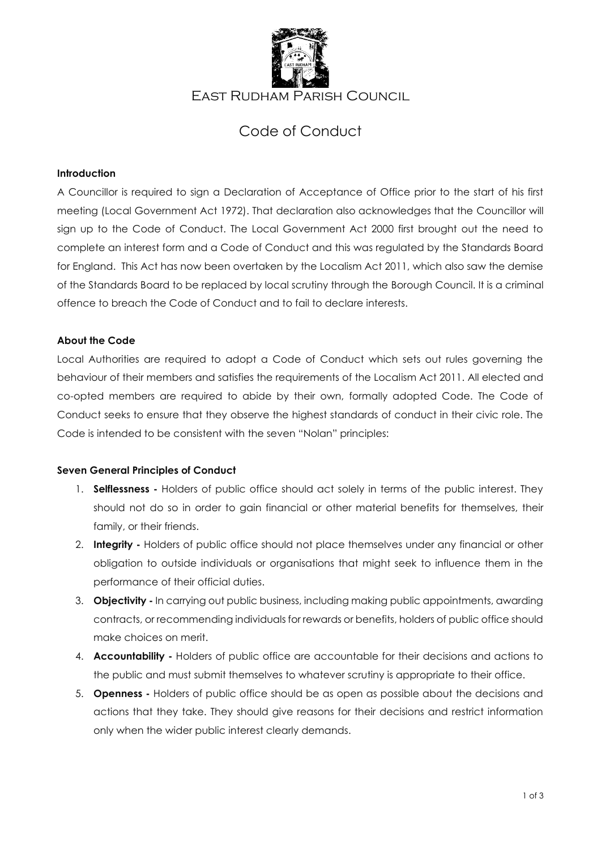

## East Rudham Parish Council

# Code of Conduct

#### **Introduction**

A Councillor is required to sign a Declaration of Acceptance of Office prior to the start of his first meeting (Local Government Act 1972). That declaration also acknowledges that the Councillor will sign up to the Code of Conduct. The Local Government Act 2000 first brought out the need to complete an interest form and a Code of Conduct and this was regulated by the Standards Board for England. This Act has now been overtaken by the Localism Act 2011, which also saw the demise of the Standards Board to be replaced by local scrutiny through the Borough Council. It is a criminal offence to breach the Code of Conduct and to fail to declare interests.

#### **About the Code**

Local Authorities are required to adopt a Code of Conduct which sets out rules governing the behaviour of their members and satisfies the requirements of the Localism Act 2011. All elected and co-opted members are required to abide by their own, formally adopted Code. The Code of Conduct seeks to ensure that they observe the highest standards of conduct in their civic role. The Code is intended to be consistent with the seven "Nolan" principles:

#### **Seven General Principles of Conduct**

- 1. **Selflessness -** Holders of public office should act solely in terms of the public interest. They should not do so in order to gain financial or other material benefits for themselves, their family, or their friends.
- 2. **Integrity -** Holders of public office should not place themselves under any financial or other obligation to outside individuals or organisations that might seek to influence them in the performance of their official duties.
- 3. **Objectivity -** In carrying out public business, including making public appointments, awarding contracts, or recommending individuals for rewards or benefits, holders of public office should make choices on merit.
- 4. **Accountability -** Holders of public office are accountable for their decisions and actions to the public and must submit themselves to whatever scrutiny is appropriate to their office.
- 5. **Openness -** Holders of public office should be as open as possible about the decisions and actions that they take. They should give reasons for their decisions and restrict information only when the wider public interest clearly demands.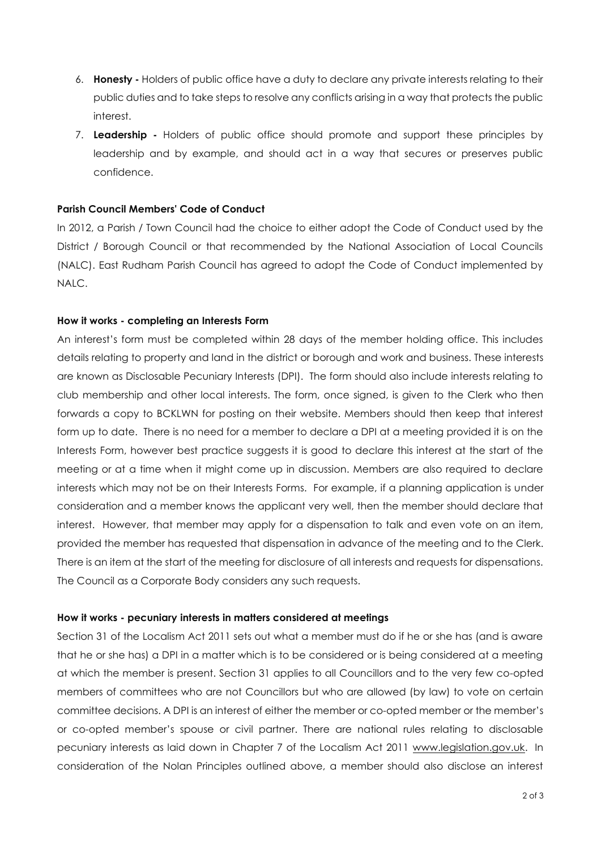- 6. **Honesty -** Holders of public office have a duty to declare any private interests relating to their public duties and to take steps to resolve any conflicts arising in a way that protects the public interest.
- 7. **Leadership -** Holders of public office should promote and support these principles by leadership and by example, and should act in a way that secures or preserves public confidence.

#### **Parish Council Members' Code of Conduct**

In 2012, a Parish / Town Council had the choice to either adopt the Code of Conduct used by the District / Borough Council or that recommended by the National Association of Local Councils (NALC). East Rudham Parish Council has agreed to adopt the Code of Conduct implemented by NALC.

#### **How it works - completing an Interests Form**

An interest's form must be completed within 28 days of the member holding office. This includes details relating to property and land in the district or borough and work and business. These interests are known as Disclosable Pecuniary Interests (DPI). The form should also include interests relating to club membership and other local interests. The form, once signed, is given to the Clerk who then forwards a copy to BCKLWN for posting on their website. Members should then keep that interest form up to date. There is no need for a member to declare a DPI at a meeting provided it is on the Interests Form, however best practice suggests it is good to declare this interest at the start of the meeting or at a time when it might come up in discussion. Members are also required to declare interests which may not be on their Interests Forms. For example, if a planning application is under consideration and a member knows the applicant very well, then the member should declare that interest. However, that member may apply for a dispensation to talk and even vote on an item, provided the member has requested that dispensation in advance of the meeting and to the Clerk. There is an item at the start of the meeting for disclosure of all interests and requests for dispensations. The Council as a Corporate Body considers any such requests.

#### **How it works - pecuniary interests in matters considered at meetings**

Section 31 of the Localism Act 2011 sets out what a member must do if he or she has (and is aware that he or she has) a DPI in a matter which is to be considered or is being considered at a meeting at which the member is present. Section 31 applies to all Councillors and to the very few co-opted members of committees who are not Councillors but who are allowed (by law) to vote on certain committee decisions. A DPI is an interest of either the member or co-opted member or the member's or co-opted member's spouse or civil partner. There are national rules relating to disclosable pecuniary interests as laid down in Chapter 7 of the Localism Act 2011 [www.legislation.gov.uk.](http://www.legislation.gov.uk/) In consideration of the Nolan Principles outlined above, a member should also disclose an interest